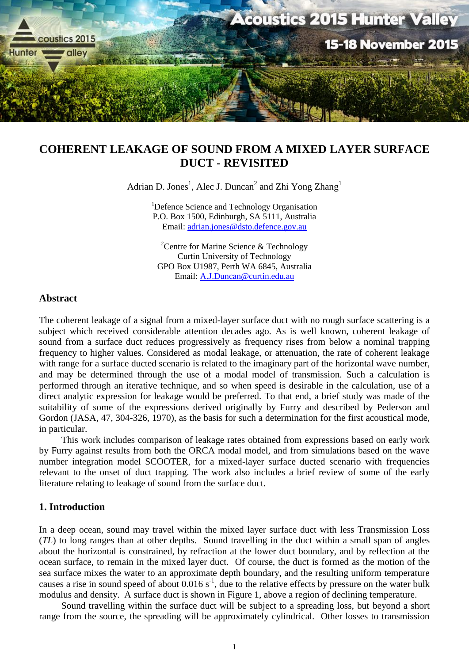

# **COHERENT LEAKAGE OF SOUND FROM A MIXED LAYER SURFACE DUCT - REVISITED**

Adrian D. Jones<sup>1</sup>, Alec J. Duncan<sup>2</sup> and Zhi Yong Zhang<sup>1</sup>

<sup>1</sup>Defence Science and Technology Organisation P.O. Box 1500, Edinburgh, SA 5111, Australia Email: [adrian.jones@dsto.defence.gov.au](mailto:adrian.jones@dsto.defence.gov.au)

<sup>2</sup>Centre for Marine Science & Technology Curtin University of Technology GPO Box U1987, Perth WA 6845, Australia Email: [A.J.Duncan@curtin.edu.au](mailto:A.J.Duncan@curtin.edu.au)

## **Abstract**

The coherent leakage of a signal from a mixed-layer surface duct with no rough surface scattering is a subject which received considerable attention decades ago. As is well known, coherent leakage of sound from a surface duct reduces progressively as frequency rises from below a nominal trapping frequency to higher values. Considered as modal leakage, or attenuation, the rate of coherent leakage with range for a surface ducted scenario is related to the imaginary part of the horizontal wave number, and may be determined through the use of a modal model of transmission. Such a calculation is performed through an iterative technique, and so when speed is desirable in the calculation, use of a direct analytic expression for leakage would be preferred. To that end, a brief study was made of the suitability of some of the expressions derived originally by Furry and described by Pederson and Gordon (JASA, 47, 304-326, 1970), as the basis for such a determination for the first acoustical mode, in particular.

This work includes comparison of leakage rates obtained from expressions based on early work by Furry against results from both the ORCA modal model, and from simulations based on the wave number integration model SCOOTER, for a mixed-layer surface ducted scenario with frequencies relevant to the onset of duct trapping. The work also includes a brief review of some of the early literature relating to leakage of sound from the surface duct.

# **1. Introduction**

In a deep ocean, sound may travel within the mixed layer surface duct with less Transmission Loss (*TL*) to long ranges than at other depths. Sound travelling in the duct within a small span of angles about the horizontal is constrained, by refraction at the lower duct boundary, and by reflection at the ocean surface, to remain in the mixed layer duct. Of course, the duct is formed as the motion of the sea surface mixes the water to an approximate depth boundary, and the resulting uniform temperature causes a rise in sound speed of about  $0.016 s<sup>-1</sup>$ , due to the relative effects by pressure on the water bulk modulus and density. A surface duct is shown in [Figure](#page-1-0) 1, above a region of declining temperature.

Sound travelling within the surface duct will be subject to a spreading loss, but beyond a short range from the source, the spreading will be approximately cylindrical. Other losses to transmission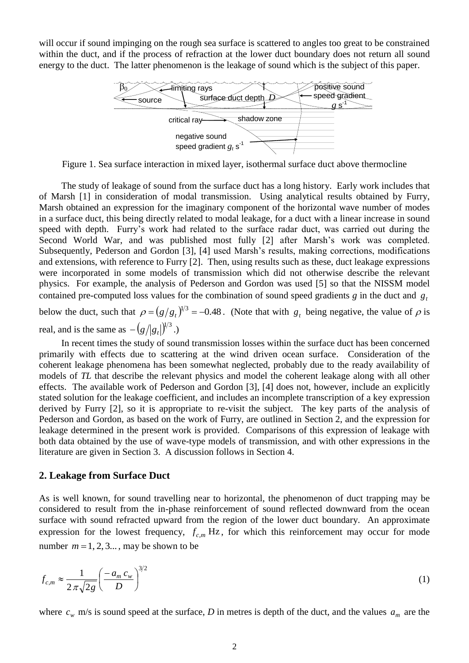will occur if sound impinging on the rough sea surface is scattered to angles too great to be constrained within the duct, and if the process of refraction at the lower duct boundary does not return all sound energy to the duct. The latter phenomenon is the leakage of sound which is the subject of this paper.



<span id="page-1-3"></span><span id="page-1-2"></span><span id="page-1-1"></span><span id="page-1-0"></span>Figure 1. Sea surface interaction in mixed layer, isothermal surface duct above thermocline

The study of leakage of sound from the surface duct has a long history. Early work includes that of Marsh [1] in consideration of modal transmission. Using analytical results obtained by Furry, Marsh obtained an expression for the imaginary component of the horizontal wave number of modes in a surface duct, this being directly related to modal leakage, for a duct with a linear increase in sound speed with depth. Furry's work had related to the surface radar duct, was carried out during the Second World War, and was published most fully [2] after Marsh's work was completed. Subsequently, Pederson and Gordon [3], [4] used Marsh's results, making corrections, modifications and extensions, with reference to Furry [\[2\]](#page-1-1). Then, using results such as these, duct leakage expressions were incorporated in some models of transmission which did not otherwise describe the relevant physics. For example, the analysis of Pederson and Gordon was used [5] so that the NISSM model contained pre-computed loss values for the combination of sound speed gradients  $g$  in the duct and  $g_t$ 

below the duct, such that  $\rho = (g/g_t)^{1/3} = -0.48$ . (Note that with  $g_t$  being negative, the value of  $\rho$  is real, and is the same as  $-(g/|g_t|)^{1/3}$ .)

In recent times the study of sound transmission losses within the surface duct has been concerned primarily with effects due to scattering at the wind driven ocean surface. Consideration of the coherent leakage phenomena has been somewhat neglected, probably due to the ready availability of models of *TL* that describe the relevant physics and model the coherent leakage along with all other effects. The available work of Pederson and Gordon [\[3\]](#page-1-2), [\[4\]](#page-1-3) does not, however, include an explicitly stated solution for the leakage coefficient, and includes an incomplete transcription of a key expression derived by Furry [\[2\]](#page-1-1), so it is appropriate to re-visit the subject. The key parts of the analysis of Pederson and Gordon, as based on the work of Furry, are outlined in Section 2, and the expression for leakage determined in the present work is provided. Comparisons of this expression of leakage with both data obtained by the use of wave-type models of transmission, and with other expressions in the literature are given in Section 3. A discussion follows in Section 4.

#### **2. Leakage from Surface Duct**

As is well known, for sound travelling near to horizontal, the phenomenon of duct trapping may be considered to result from the in-phase reinforcement of sound reflected downward from the ocean surface with sound refracted upward from the region of the lower duct boundary. An approximate expression for the lowest frequency,  $f_{c,m}$  Hz, for which this reinforcement may occur for mode number  $m = 1, 2, 3...$ , may be shown to be

<span id="page-1-4"></span>
$$
f_{c,m} \approx \frac{1}{2\pi\sqrt{2g}} \left(\frac{-a_m c_w}{D}\right)^{3/2} \tag{1}
$$

where  $c_w$  m/s is sound speed at the surface, *D* in metres is depth of the duct, and the values  $a_m$  are the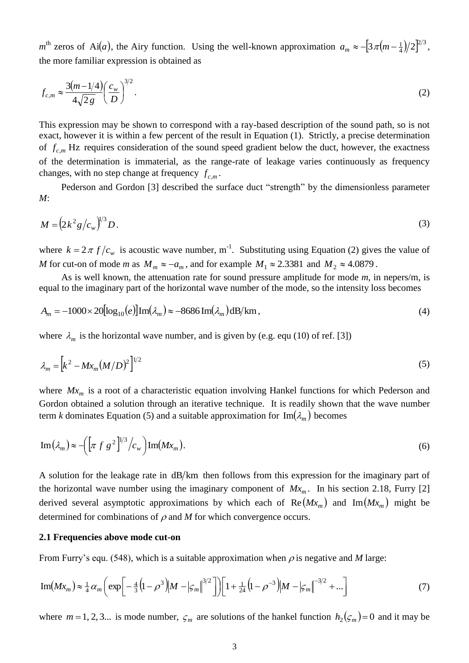$m<sup>th</sup>$  zeros of Ai(*a*), the Airy function. Using the well-known approximation  $a_m \approx -[3\pi(m-\frac{1}{4})/2]^{2/3}$  $a_m \approx -[3\pi(m-\frac{1}{4})/2]^{2/3}$ , the more familiar expression is obtained as

<span id="page-2-0"></span>
$$
f_{c,m} \approx \frac{3(m-1/4)}{4\sqrt{2g}} \left(\frac{c_w}{D}\right)^{3/2}.\tag{2}
$$

This expression may be shown to correspond with a ray-based description of the sound path, so is not exact, however it is within a few percent of the result in Equation [\(1\).](#page-1-4) Strictly, a precise determination of  $f_{c,m}$  Hz requires consideration of the sound speed gradient below the duct, however, the exactness of the determination is immaterial, as the range-rate of leakage varies continuously as frequency changes, with no step change at frequency  $f_{c,m}$ .

Pederson and Gordon [\[3\]](#page-1-2) described the surface duct "strength" by the dimensionless parameter *M*:

<span id="page-2-3"></span>
$$
M = \left(2k^2 g/c_w\right)^{1/3} D. \tag{3}
$$

where  $k = 2 \pi f/c_w$  is acoustic wave number, m<sup>-1</sup>. Substituting using Equation [\(2\)](#page-2-0) gives the value of *M* for cut-on of mode *m* as  $M_m \approx -a_m$ , and for example  $M_1 \approx 2.3381$  and  $M_2 \approx 4.0879$ .

As is well known, the attenuation rate for sound pressure amplitude for mode *m*, in nepers/m, is equal to the imaginary part of the horizontal wave number of the mode, so the intensity loss becomes

$$
A_m = -1000 \times 20 \left[ \log_{10}(e) \right] \text{Im}(\lambda_m) \approx -8686 \text{Im}(\lambda_m) \text{dB/km},\tag{4}
$$

where  $\lambda_m$  is the horizontal wave number, and is given by (e.g. equ (10) of ref. [\[3\]](#page-1-2))

<span id="page-2-1"></span>
$$
\lambda_m = \left[ k^2 - M x_m (M/D)^2 \right]^{1/2} \tag{5}
$$

where  $Mx_m$  is a root of a characteristic equation involving Hankel functions for which Pederson and Gordon obtained a solution through an iterative technique. It is readily shown that the wave number term *k* dominates Equation [\(5\)](#page-2-1) and a suitable approximation for  $\text{Im}(\lambda_m)$  becomes

$$
\operatorname{Im}(\lambda_m) \approx -\left(\left[\pi \ f \ g^2\right]^{1/3}/c_w\right) \operatorname{Im}(Mx_m). \tag{6}
$$

A solution for the leakage rate in  $dB/km$  then follows from this expression for the imaginary part of the horizontal wave number using the imaginary component of  $Mx_m$ . In his section 2.18, Furry [\[2\]](#page-1-1) derived several asymptotic approximations by which each of  $\text{Re}(Mx_m)$  and  $\text{Im}(Mx_m)$  might be determined for combinations of  $\rho$  and  $M$  for which convergence occurs.

#### **2.1 Frequencies above mode cut-on**

From Furry's equ. (548), which is a suitable approximation when  $\rho$  is negative and *M* large:

<span id="page-2-2"></span>
$$
\text{Im}(Mx_m) \approx \frac{1}{4} \alpha_m \bigg( \exp \bigg[ -\frac{4}{3} \big( 1 - \rho^3 \big) \big| M - |\varsigma_m| \big|^{3/2} \bigg] \bigg) \bigg[ 1 + \frac{1}{24} \big( 1 - \rho^{-3} \big) \big| M - |\varsigma_m| \big|^{-3/2} + \dots \bigg] \tag{7}
$$

where  $m = 1, 2, 3...$  is mode number,  $\varsigma_m$  are solutions of the hankel function  $h_2(\varsigma_m) = 0$  and it may be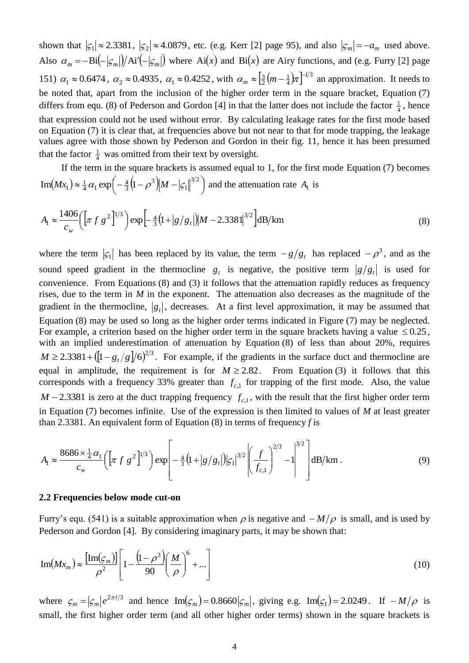shown that  $|\zeta_1| \approx 2.3381$ ,  $|\zeta_2| \approx 4.0879$ , etc. (e.g. Kerr [\[2\]](#page-1-1) page 95), and also  $|\zeta_m| = -a_m$  used above. Also  $\alpha_m = -\text{Bi}(-|\varsigma_m|)/\text{Ai}'(-|\varsigma_m|)$  where Ai(x) and Bi(x) are Airy functions, and (e.g. Furry [\[2\]](#page-1-1) page 151)  $\alpha_1 \approx 0.6474$ ,  $\alpha_2 \approx 0.4935$ ,  $\alpha_1 \approx 0.4252$ , with  $\alpha_m \approx \left[\frac{3}{2}(m-\frac{1}{4})\pi\right]^{1/3}$ 4 1 2  $\frac{3}{2}(m-1)\pi$  $\alpha_m \approx \left(\frac{3}{2}(m-\frac{1}{4})\pi\right)^{-1/3}$  an approximation. It needs to be noted that, apart from the inclusion of the higher order term in the square bracket, Equation [\(7\)](#page-2-2) differs from equ. (8) of Pederson and Gordon [\[4\]](#page-1-3) in that the latter does not include the factor  $\frac{1}{4}$  $\frac{1}{4}$ , hence that expression could not be used without error. By calculating leakage rates for the first mode based on Equation [\(7\)](#page-2-2) it is clear that, at frequencies above but not near to that for mode trapping, the leakage values agree with those shown by Pederson and Gordon in their fig. 11, hence it has been presumed that the factor  $\frac{1}{4}$  $\frac{1}{4}$  was omitted from their text by oversight.

If the term in the square brackets is assumed equal to 1, for the first mode Equation [\(7\)](#page-2-2) becomes  $(Mx_1) \approx \frac{1}{4} \alpha_1 \exp \left(-\frac{4}{3} (1 - \rho^3) M - |\mathcal{S}_1|^{3/2} \right)$  $\left(-\frac{4}{3}\left(1-\rho^3\right)\!\!\left|M-|\varsigma_1\right|^{3/2}\right)$  $\approx \frac{1}{4} \alpha_1 \exp \left(-\frac{4}{3} (1-\rho^3) M - |\mathcal{L}_1| \right)^{3/2}$ 1 3 3  $\text{Im}(Mx_1) \approx \frac{1}{4} \alpha_1 \exp\left(-\frac{4}{3}\left(1-\rho^3\right) \middle| M - |\mathcal{L}_1| \right)^{1/2}$  and the attenuation rate  $A_1$  is

<span id="page-3-0"></span>
$$
A_1 \approx \frac{1406}{c_w} \left( \left[ \pi f g^2 \right]^{1/3} \right) \exp \left[ -\frac{4}{3} \left( 1 + \left| g/g_t \right| \right) \left| M - 2.3381 \right|^{3/2} \right] dB/km \tag{8}
$$

where the term  $|\mathcal{G}_1|$  has been replaced by its value, the term  $-g/g_t$  has replaced  $-\rho^3$ , and as the sound speed gradient in the thermocline  $g_t$  is negative, the positive term  $|g/g_t|$  is used for convenience. From Equations [\(8\)](#page-3-0) and [\(3\)](#page-2-3) it follows that the attenuation rapidly reduces as frequency rises, due to the term in *M* in the exponent. The attenuation also decreases as the magnitude of the gradient in the thermocline,  $|g_t|$ , decreases. At a first level approximation, it may be assumed that Equation [\(8\)](#page-3-0) may be used so long as the higher order terms indicated in Figure [\(7\)](#page-2-2) may be neglected. For example, a criterion based on the higher order term in the square brackets having a value  $\leq 0.25$ , with an implied underestimation of attenuation by Equation [\(8\)](#page-3-0) of less than about 20%, requires  $M \ge 2.3381 + ([1 - g_t/g]/6)^{2/3}$ . For example, if the gradients in the surface duct and thermocline are equal in amplitude, the requirement is for  $M \ge 2.82$ . From Equation [\(3\)](#page-2-3) it follows that this corresponds with a frequency 33% greater than  $f_{c,1}$  for trapping of the first mode. Also, the value  $M - 2.3381$  is zero at the duct trapping frequency  $f_{c,1}$ , with the result that the first higher order term in Equation [\(7\)](#page-2-2) becomes infinite. Use of the expression is then limited to values of *M* at least greater than 2.3381. An equivalent form of Equation [\(8\)](#page-3-0) in terms of frequency *f* is

<span id="page-3-2"></span>
$$
A_{1} \approx \frac{8686 \times \frac{1}{4} \alpha_{1}}{c_{w}} \left( \left[ \pi f g^{2} \right]^{1/3} \right) \exp \left[ -\frac{4}{3} \left( 1 + |g/g_{t}| \right) | \varsigma_{1} |^{3/2} \left( \frac{f}{f_{c,1}} \right)^{2/3} - 1 \right]^{3/2} \right] dB/km . \tag{9}
$$

#### **2.2 Frequencies below mode cut-on**

Furry's equ. (541) is a suitable approximation when  $\rho$  is negative and  $-M/\rho$  is small, and is used by Pederson and Gordon [\[4\]](#page-1-3). By considering imaginary parts, it may be shown that:

<span id="page-3-1"></span>
$$
\operatorname{Im}(Mx_m) \approx \frac{\left[\operatorname{Im}(\varsigma_m)\right]}{\rho^2} \left[1 - \frac{\left(1 - \rho^3\right)}{90} \left(\frac{M}{\rho}\right)^6 + \dots\right]
$$
(10)

where  $\varsigma_m = |\varsigma_m| e^{2\pi i/3}$  $\mathcal{L}_m = |\mathcal{L}_m| e^{2\pi i/3}$  and hence  $\text{Im}(\mathcal{L}_m) = 0.8660 |\mathcal{L}_m|$ , giving e.g.  $\text{Im}(\mathcal{L}_1) = 2.0249$ . If  $-M/\rho$  is small, the first higher order term (and all other higher order terms) shown in the square brackets is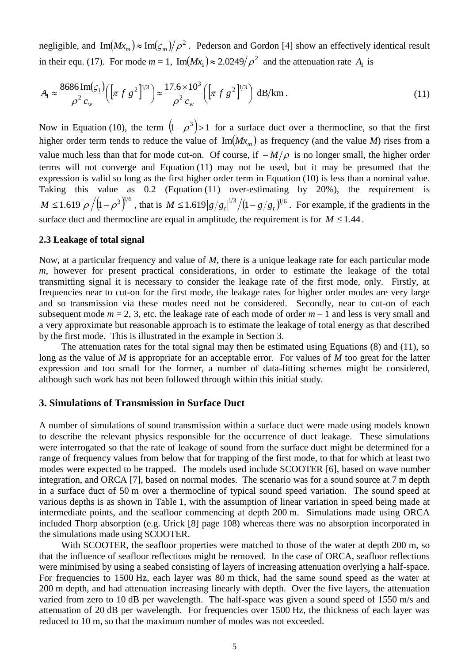negligible, and  $\text{Im}(Mx_m) \approx \text{Im}(\zeta_m)/\rho^2$ . Pederson and Gordon [\[4\]](#page-1-3) show an effectively identical result in their equ. (17). For mode  $m = 1$ ,  $\text{Im}(Mx_1) \approx 2.0249/\rho^2$  and the attenuation rate  $A_1$  is

<span id="page-4-0"></span>
$$
A_{\rm l} \approx \frac{8686 \,\mathrm{Im}(\varsigma_{1})}{\rho^{2} \, c_{w}} \left( \left[ \pi \, f \, g^{2} \right]^{1/3} \right) \approx \frac{17.6 \times 10^{3}}{\rho^{2} \, c_{w}} \left( \left[ \pi \, f \, g^{2} \right]^{1/3} \right) \, \mathrm{dB/km} \,. \tag{11}
$$

Now in Equation [\(10\),](#page-3-1) the term  $(1 - \rho^3) > 1$  for a surface duct over a thermocline, so that the first higher order term tends to reduce the value of  $Im(Mx_m)$  as frequency (and the value *M*) rises from a value much less than that for mode cut-on. Of course, if  $-M/\rho$  is no longer small, the higher order terms will not converge and Equation [\(11\)](#page-4-0) may not be used, but it may be presumed that the expression is valid so long as the first higher order term in Equation [\(10\)](#page-3-1) is less than a nominal value. Taking this value as 0.2 (Equation [\(11\)](#page-4-0) over-estimating by 20%), the requirement is  $M \le 1.619 |\rho| / (1 - \rho^3)^{1/6}$ , that is  $M \le 1.619 |g/g_t|^{1/3} / (1 - g/g_t)^{1/6}$ . For example, if the gradients in the surface duct and thermocline are equal in amplitude, the requirement is for  $M \leq 1.44$ .

#### **2.3 Leakage of total signal**

Now, at a particular frequency and value of *M*, there is a unique leakage rate for each particular mode *m*, however for present practical considerations, in order to estimate the leakage of the total transmitting signal it is necessary to consider the leakage rate of the first mode, only. Firstly, at frequencies near to cut-on for the first mode, the leakage rates for higher order modes are very large and so transmission via these modes need not be considered. Secondly, near to cut-on of each subsequent mode  $m = 2$ , 3, etc. the leakage rate of each mode of order  $m - 1$  and less is very small and a very approximate but reasonable approach is to estimate the leakage of total energy as that described by the first mode. This is illustrated in the example in Section 3.

The attenuation rates for the total signal may then be estimated using Equations [\(8\)](#page-3-0) and [\(11\),](#page-4-0) so long as the value of *M* is appropriate for an acceptable error. For values of *M* too great for the latter expression and too small for the former, a number of data-fitting schemes might be considered, although such work has not been followed through within this initial study.

## **3. Simulations of Transmission in Surface Duct**

A number of simulations of sound transmission within a surface duct were made using models known to describe the relevant physics responsible for the occurrence of duct leakage. These simulations were interrogated so that the rate of leakage of sound from the surface duct might be determined for a range of frequency values from below that for trapping of the first mode, to that for which at least two modes were expected to be trapped. The models used include SCOOTER [6], based on wave number integration, and ORCA [7], based on normal modes. The scenario was for a sound source at 7 m depth in a surface duct of 50 m over a thermocline of typical sound speed variation. The sound speed at various depths is as shown in Table 1, with the assumption of linear variation in speed being made at intermediate points, and the seafloor commencing at depth 200 m. Simulations made using ORCA included Thorp absorption (e.g. Urick [8] page 108) whereas there was no absorption incorporated in the simulations made using SCOOTER.

<span id="page-4-1"></span>With SCOOTER, the seafloor properties were matched to those of the water at depth 200 m, so that the influence of seafloor reflections might be removed. In the case of ORCA, seafloor reflections were minimised by using a seabed consisting of layers of increasing attenuation overlying a half-space. For frequencies to 1500 Hz, each layer was 80 m thick, had the same sound speed as the water at 200 m depth, and had attenuation increasing linearly with depth. Over the five layers, the attenuation varied from zero to 10 dB per wavelength. The half-space was given a sound speed of 1550 m/s and attenuation of 20 dB per wavelength. For frequencies over 1500 Hz, the thickness of each layer was reduced to 10 m, so that the maximum number of modes was not exceeded.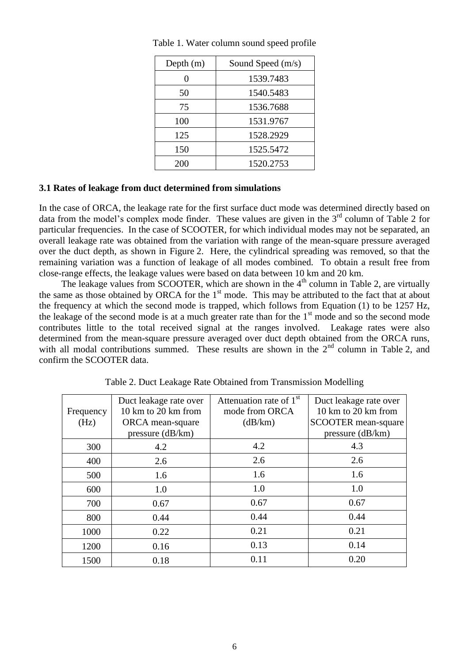| Depth $(m)$ | Sound Speed $(m/s)$ |  |
|-------------|---------------------|--|
|             | 1539.7483           |  |
| 50          | 1540.5483           |  |
| 75          | 1536.7688           |  |
| 100         | 1531.9767           |  |
| 125         | 1528.2929           |  |
| 150         | 1525.5472           |  |
| 200         | 1520.2753           |  |

Table 1. Water column sound speed profile

## **3.1 Rates of leakage from duct determined from simulations**

In the case of ORCA, the leakage rate for the first surface duct mode was determined directly based on data from the model's complex mode finder. These values are given in the  $3<sup>rd</sup>$  column of Table 2 for particular frequencies. In the case of SCOOTER, for which individual modes may not be separated, an overall leakage rate was obtained from the variation with range of the mean-square pressure averaged over the duct depth, as shown in [Figure](#page-6-0) 2. Here, the cylindrical spreading was removed, so that the remaining variation was a function of leakage of all modes combined. To obtain a result free from close-range effects, the leakage values were based on data between 10 km and 20 km.

The leakage values from SCOOTER, which are shown in the  $4<sup>th</sup>$  column in Table 2, are virtually the same as those obtained by ORCA for the  $1<sup>st</sup>$  mode. This may be attributed to the fact that at about the frequency at which the second mode is trapped, which follows from Equation [\(1\)](#page-1-4) to be 1257 Hz, the leakage of the second mode is at a much greater rate than for the  $1<sup>st</sup>$  mode and so the second mode contributes little to the total received signal at the ranges involved. Leakage rates were also determined from the mean-square pressure averaged over duct depth obtained from the ORCA runs, with all modal contributions summed. These results are shown in the  $2<sup>nd</sup>$  column in Table 2, and confirm the SCOOTER data.

|           | Duct leakage rate over | Attenuation rate of $1st$ | Duct leakage rate over     |
|-----------|------------------------|---------------------------|----------------------------|
| Frequency | 10 km to 20 km from    | mode from ORCA            | 10 km to 20 km from        |
| (Hz)      | ORCA mean-square       | (dB/km)                   | <b>SCOOTER</b> mean-square |
|           | pressure $(dB/km)$     |                           | pressure $(dB/km)$         |
| 300       | 4.2                    | 4.2                       | 4.3                        |
| 400       | 2.6                    | 2.6                       | 2.6                        |
| 500       | 1.6                    | 1.6                       | 1.6                        |
| 600       | 1.0                    | 1.0                       | 1.0                        |
| 700       | 0.67                   | 0.67                      | 0.67                       |
| 800       | 0.44                   | 0.44                      | 0.44                       |
| 1000      | 0.22                   | 0.21                      | 0.21                       |
| 1200      | 0.16                   | 0.13                      | 0.14                       |
| 1500      | 0.18                   | 0.11                      | 0.20                       |

Table 2. Duct Leakage Rate Obtained from Transmission Modelling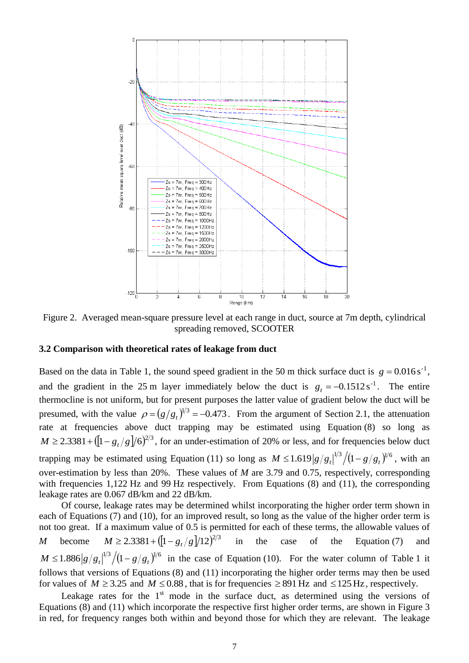

<span id="page-6-0"></span>Figure 2. Averaged mean-square pressure level at each range in duct, source at 7m depth, cylindrical spreading removed, SCOOTER

# **3.2 Comparison with theoretical rates of leakage from duct**

Based on the data in Table 1, the sound speed gradient in the 50 m thick surface duct is  $g = 0.016 s^{-1}$ , and the gradient in the 25 m layer immediately below the duct is  $g_t = -0.1512 s^{-1}$ . The entire thermocline is not uniform, but for present purposes the latter value of gradient below the duct will be presumed, with the value  $\rho = (g/g_t)^{1/3} = -0.473$ . From the argument of Section 2.1, the attenuation rate at frequencies above duct trapping may be estimated using Equation [\(8\)](#page-3-0) so long as  $M \ge 2.3381 + ([1 - g_t/g]/6)^{2/3}$ , for an under-estimation of 20% or less, and for frequencies below duct trapping may be estimated using Equation [\(11\)](#page-4-0) so long as  $M \le 1.619 |g/g_t|^{1/3} / (1 - g/g_t)^{1/6}$ , with an over-estimation by less than 20%. These values of *M* are 3.79 and 0.75, respectively, corresponding with frequencies 1,122 Hz and 99 Hz respectively. From Equations [\(8\)](#page-3-0) and [\(11\),](#page-4-0) the corresponding leakage rates are 0.067 dB/km and 22 dB/km.

Of course, leakage rates may be determined whilst incorporating the higher order term shown in each of Equations [\(7\)](#page-2-2) and [\(10\),](#page-3-1) for an improved result, so long as the value of the higher order term is not too great. If a maximum value of 0.5 is permitted for each of these terms, the allowable values of *M* become  $M \ge 2.3381 + ([1 - g_t/g]/12)^{2/3}$ in the case of the Equation [\(7\)](#page-2-2) and  $M \leq 1.886 |g/g_t|^{1/3} / (1 - g/g_t)^{1/6}$  in the case of Equation [\(10\).](#page-3-1) For the water column of Table 1 it follows that versions of Equations [\(8\)](#page-3-0) and [\(11\)](#page-4-0) incorporating the higher order terms may then be used for values of  $M \ge 3.25$  and  $M \le 0.88$ , that is for frequencies  $\ge 891$  Hz and  $\le 125$  Hz, respectively.

Leakage rates for the  $1<sup>st</sup>$  mode in the surface duct, as determined using the versions of Equations [\(8\)](#page-3-0) and [\(11\)](#page-4-0) which incorporate the respective first higher order terms, are shown in [Figure](#page-7-0) 3 in red, for frequency ranges both within and beyond those for which they are relevant. The leakage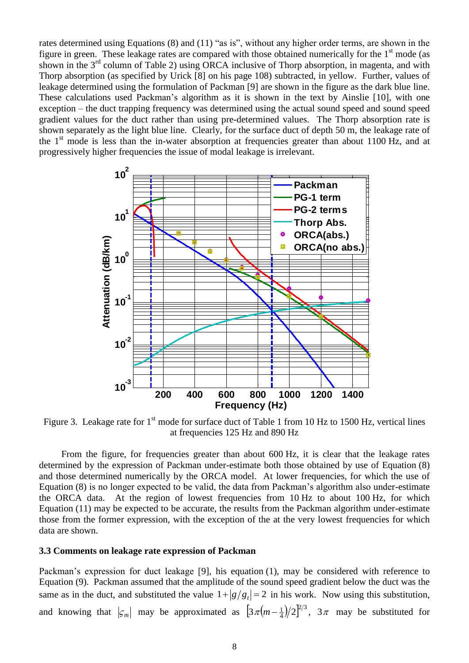rates determined using Equations [\(8\)](#page-3-0) and [\(11\)](#page-4-0) "as is", without any higher order terms, are shown in the figure in green. These leakage rates are compared with those obtained numerically for the  $1<sup>st</sup>$  mode (as shown in the  $3<sup>rd</sup>$  column of Table 2) using ORCA inclusive of Thorp absorption, in magenta, and with Thorp absorption (as specified by Urick [\[8\]](#page-4-1) on his page 108) subtracted, in yellow. Further, values of leakage determined using the formulation of Packman [9] are shown in the figure as the dark blue line. These calculations used Packman's algorithm as it is shown in the text by Ainslie [10], with one exception – the duct trapping frequency was determined using the actual sound speed and sound speed gradient values for the duct rather than using pre-determined values. The Thorp absorption rate is shown separately as the light blue line. Clearly, for the surface duct of depth 50 m, the leakage rate of the  $1<sup>st</sup>$  mode is less than the in-water absorption at frequencies greater than about 1100 Hz, and at progressively higher frequencies the issue of modal leakage is irrelevant.

<span id="page-7-1"></span>

<span id="page-7-0"></span>Figure 3. Leakage rate for 1<sup>st</sup> mode for surface duct of Table 1 from 10 Hz to 1500 Hz, vertical lines at frequencies 125 Hz and 890 Hz

From the figure, for frequencies greater than about 600 Hz, it is clear that the leakage rates determined by the expression of Packman under-estimate both those obtained by use of Equation [\(8\)](#page-3-0) and those determined numerically by the ORCA model. At lower frequencies, for which the use of Equation [\(8\)](#page-3-0) is no longer expected to be valid, the data from Packman's algorithm also under-estimate the ORCA data. At the region of lowest frequencies from 10 Hz to about 100 Hz, for which Equation [\(11\)](#page-4-0) may be expected to be accurate, the results from the Packman algorithm under-estimate those from the former expression, with the exception of the at the very lowest frequencies for which data are shown.

#### **3.3 Comments on leakage rate expression of Packman**

Packman's expression for duct leakage [\[9\]](#page-7-1), his equation (1), may be considered with reference to Equation [\(9\).](#page-3-2) Packman assumed that the amplitude of the sound speed gradient below the duct was the same as in the duct, and substituted the value  $1 + |g/g_t| = 2$  in his work. Now using this substitution, and knowing that  $|\varsigma_m|$  may be approximated as  $\left[3\pi(m-\frac{1}{4})/2\right]^{2/3}$  $3\pi(m-\frac{1}{4})/2^{2/3}$ ,  $3\pi$  may be substituted for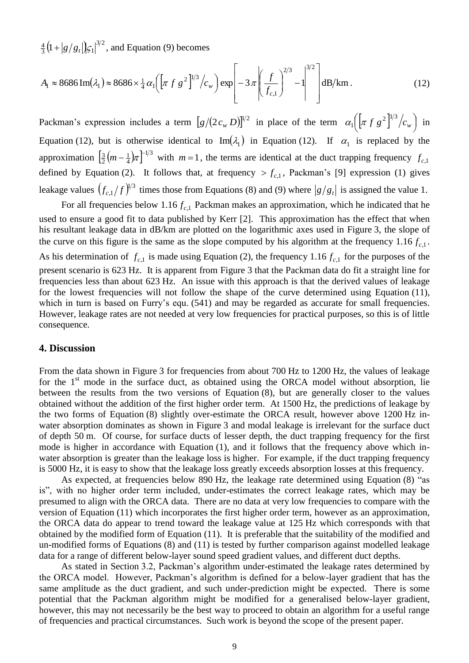$(1+|g/g_t|)\zeta_1|^{3/2}$  $\frac{4}{3}$ (1+|g/g<sub>t</sub>|| $\zeta_1$ |<sup>3/2</sup>, and Equation [\(9\)](#page-3-2) becomes

<span id="page-8-0"></span>
$$
A_1 \approx 8686 \operatorname{Im}(\lambda_1) \approx 8686 \times \frac{1}{4} \alpha_1 \left( \left[ \pi f g^2 \right]^{1/3} / c_w \right) \exp \left[ -3 \pi \left( \frac{f}{f_{c,1}} \right)^{2/3} - 1 \right]^{3/2} \text{dB/km} \,. \tag{12}
$$

Packman's expression includes a term  $[g/(2c_w D)]^{1/2}$  in place of the term  $\alpha_1([\pi f g^2]^{1/3}/c_w)$  $\left( \left[ \pi f \, g^2 \right]^{1/3}/c_{_W} \right)$  $\alpha_1 \left( \left[ \pi f g^2 \right]^{1/3} / c_w \right)$  in Equation [\(12\),](#page-8-0) but is otherwise identical to  $\text{Im}(\lambda_1)$  in Equation [\(12\).](#page-8-0) If  $\alpha_1$  is replaced by the approximation  $\left[\frac{3}{2}\left(m-\frac{1}{4}\right)\pi\right]^{-1/3}$ 4 1 2  $\frac{3}{2}(m-\frac{1}{4})\pi$ <sup>-1/3</sup> with  $m=1$ , the terms are identical at the duct trapping frequency  $f_{c,1}$ defined by Equation [\(2\).](#page-2-0) It follows that, at frequency  $>f_{c,1}$ , Packman's [\[9\]](#page-7-1) expression (1) gives leakage values  $(f_{c,1}/f)^{1/3}$  $f_{c,1}/f$ <sup> $\psi$ </sup> times those from Equations [\(8\)](#page-3-0) and [\(9\)](#page-3-2) where  $|g/g_t|$  is assigned the value 1.

For all frequencies below  $1.16 f_{c,1}$  Packman makes an approximation, which he indicated that he used to ensure a good fit to data published by Kerr [\[2\]](#page-1-1). This approximation has the effect that when his resultant leakage data in dB/km are plotted on the logarithmic axes used in [Figure](#page-7-0) 3, the slope of the curve on this figure is the same as the slope computed by his algorithm at the frequency  $1.16 f_{c,1}$ .

As his determination of  $f_{c,1}$  is made using Equation [\(2\),](#page-2-0) the frequency 1.16  $f_{c,1}$  for the purposes of the present scenario is 623 Hz. It is apparent from [Figure](#page-7-0) 3 that the Packman data do fit a straight line for frequencies less than about 623 Hz. An issue with this approach is that the derived values of leakage for the lowest frequencies will not follow the shape of the curve determined using Equation [\(11\),](#page-4-0) which in turn is based on Furry's equ.  $(541)$  and may be regarded as accurate for small frequencies. However, leakage rates are not needed at very low frequencies for practical purposes, so this is of little consequence.

#### **4. Discussion**

From the data shown in [Figure](#page-7-0) 3 for frequencies from about 700 Hz to 1200 Hz, the values of leakage for the  $1<sup>st</sup>$  mode in the surface duct, as obtained using the ORCA model without absorption, lie between the results from the two versions of Equation [\(8\),](#page-3-0) but are generally closer to the values obtained without the addition of the first higher order term. At 1500 Hz, the predictions of leakage by the two forms of Equation [\(8\)](#page-3-0) slightly over-estimate the ORCA result, however above 1200 Hz inwater absorption dominates as shown in [Figure](#page-7-0) 3 and modal leakage is irrelevant for the surface duct of depth 50 m. Of course, for surface ducts of lesser depth, the duct trapping frequency for the first mode is higher in accordance with Equation [\(1\),](#page-1-4) and it follows that the frequency above which inwater absorption is greater than the leakage loss is higher. For example, if the duct trapping frequency is 5000 Hz, it is easy to show that the leakage loss greatly exceeds absorption losses at this frequency.

As expected, at frequencies below 890 Hz, the leakage rate determined using Equation [\(8\)](#page-3-0) "as is", with no higher order term included, under-estimates the correct leakage rates, which may be presumed to align with the ORCA data. There are no data at very low frequencies to compare with the version of Equation [\(11\)](#page-4-0) which incorporates the first higher order term, however as an approximation, the ORCA data do appear to trend toward the leakage value at 125 Hz which corresponds with that obtained by the modified form of Equation [\(11\).](#page-4-0) It is preferable that the suitability of the modified and un-modified forms of Equations [\(8\)](#page-3-0) and [\(11\)](#page-4-0) is tested by further comparison against modelled leakage data for a range of different below-layer sound speed gradient values, and different duct depths.

As stated in Section 3.2, Packman's algorithm under-estimated the leakage rates determined by the ORCA model. However, Packman's algorithm is defined for a below-layer gradient that has the same amplitude as the duct gradient, and such under-prediction might be expected. There is some potential that the Packman algorithm might be modified for a generalised below-layer gradient, however, this may not necessarily be the best way to proceed to obtain an algorithm for a useful range of frequencies and practical circumstances. Such work is beyond the scope of the present paper.